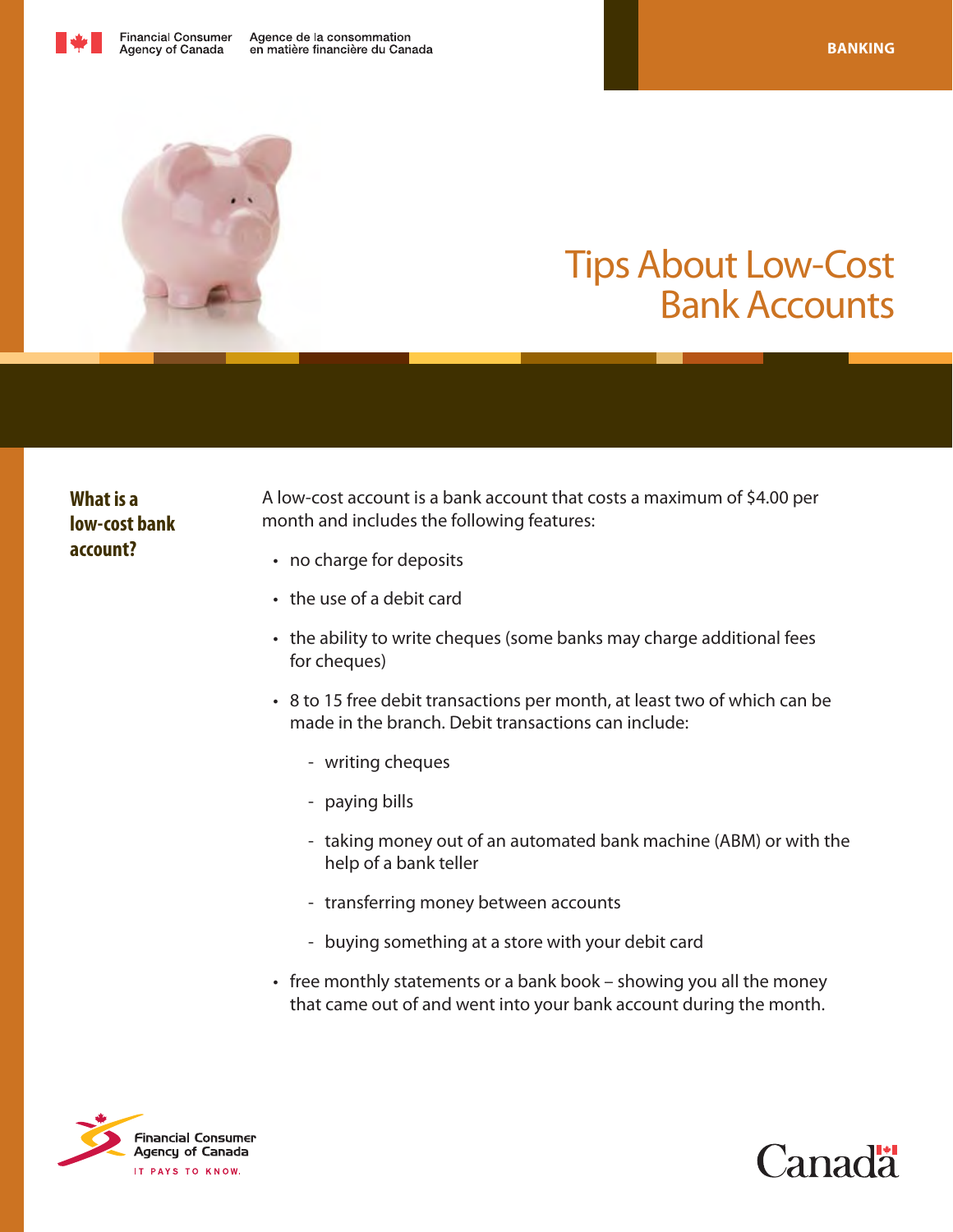



# Tips About Low-Cost Bank Accounts

# **What is a low-cost bank account?**

A low-cost account is a bank account that costs a maximum of \$4.00 per month and includes the following features:

- no charge for deposits
- • the use of a debit card
- the ability to write cheques (some banks may charge additional fees for cheques)
- 8 to 15 free debit transactions per month, at least two of which can be made in the branch. Debit transactions can include:
	- writing cheques
	- paying bills
	- taking money out of an automated bank machine (ABM) or with the help of a bank teller
	- transferring money between accounts
	- buying something at a store with your debit card
- free monthly statements or a bank book showing you all the money that came out of and went into your bank account during the month.



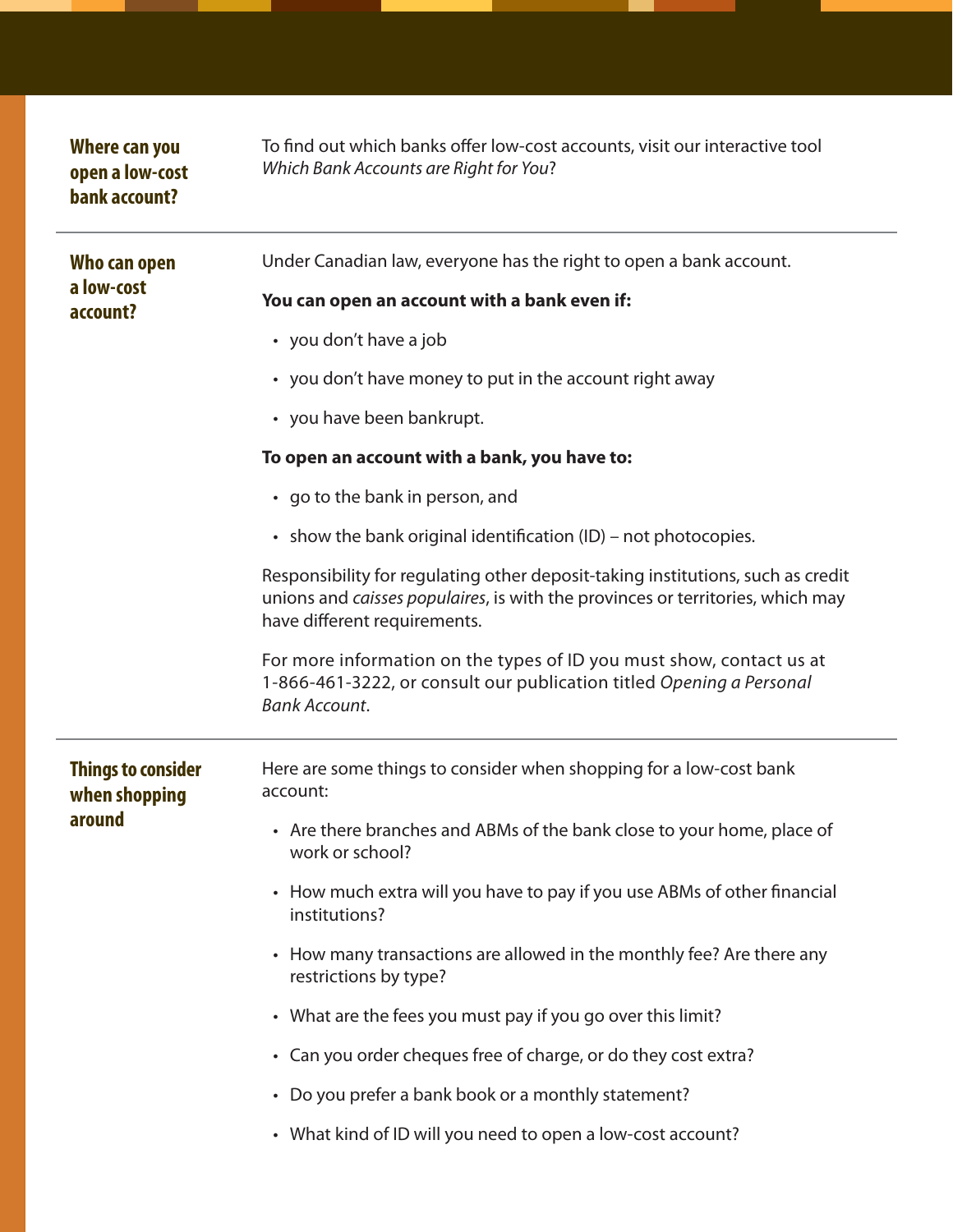| Where can you<br>open a low-cost<br>bank account?    | To find out which banks offer low-cost accounts, visit our interactive tool<br>Which Bank Accounts are Right for You?                                                                             |
|------------------------------------------------------|---------------------------------------------------------------------------------------------------------------------------------------------------------------------------------------------------|
| Who can open<br>a low-cost<br>account?               | Under Canadian law, everyone has the right to open a bank account.                                                                                                                                |
|                                                      | You can open an account with a bank even if:                                                                                                                                                      |
|                                                      | • you don't have a job                                                                                                                                                                            |
|                                                      | • you don't have money to put in the account right away                                                                                                                                           |
|                                                      | • you have been bankrupt.                                                                                                                                                                         |
|                                                      | To open an account with a bank, you have to:                                                                                                                                                      |
|                                                      | • go to the bank in person, and                                                                                                                                                                   |
|                                                      | • show the bank original identification (ID) – not photocopies.                                                                                                                                   |
|                                                      | Responsibility for regulating other deposit-taking institutions, such as credit<br>unions and caisses populaires, is with the provinces or territories, which may<br>have different requirements. |
|                                                      | For more information on the types of ID you must show, contact us at<br>1-866-461-3222, or consult our publication titled Opening a Personal<br><b>Bank Account.</b>                              |
| <b>Things to consider</b><br>when shopping<br>around | Here are some things to consider when shopping for a low-cost bank<br>account:                                                                                                                    |
|                                                      |                                                                                                                                                                                                   |
|                                                      | • Are there branches and ABMs of the bank close to your home, place of<br>work or school?                                                                                                         |
|                                                      | • How much extra will you have to pay if you use ABMs of other financial<br>institutions?                                                                                                         |
|                                                      | • How many transactions are allowed in the monthly fee? Are there any<br>restrictions by type?                                                                                                    |
|                                                      | • What are the fees you must pay if you go over this limit?                                                                                                                                       |
|                                                      | • Can you order cheques free of charge, or do they cost extra?                                                                                                                                    |
|                                                      | • Do you prefer a bank book or a monthly statement?                                                                                                                                               |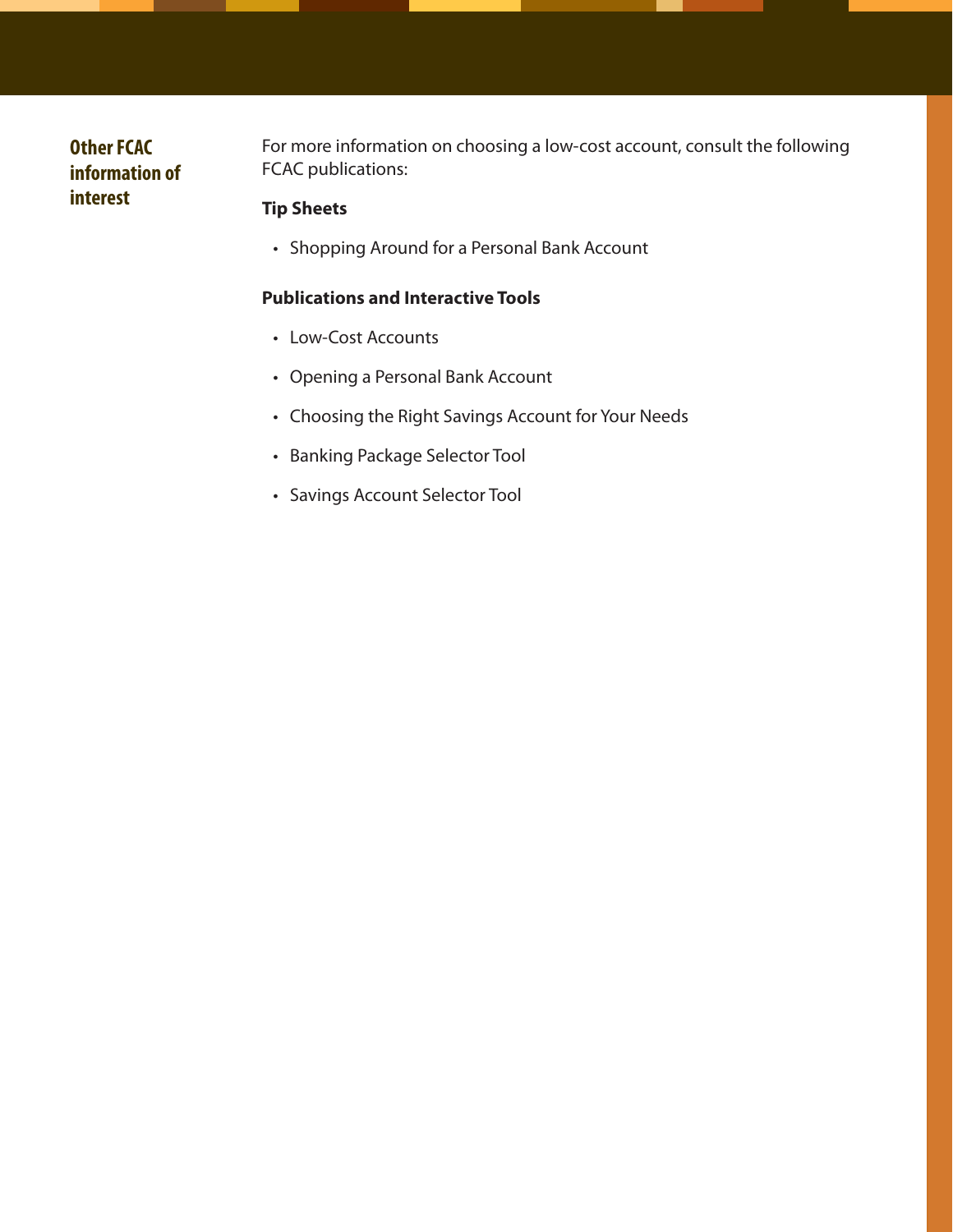### **Other FCAC information of interest**

For more information on choosing a low-cost account, consult the following FCAC publications:

#### **Tip Sheets**

• Shopping Around for a Personal Bank Account

#### **Publications and Interactive Tools**

- Low-Cost Accounts
- • Opening a Personal Bank Account
- • Choosing the Right Savings Account for Your Needs
- • Banking Package Selector Tool
- • Savings Account Selector Tool